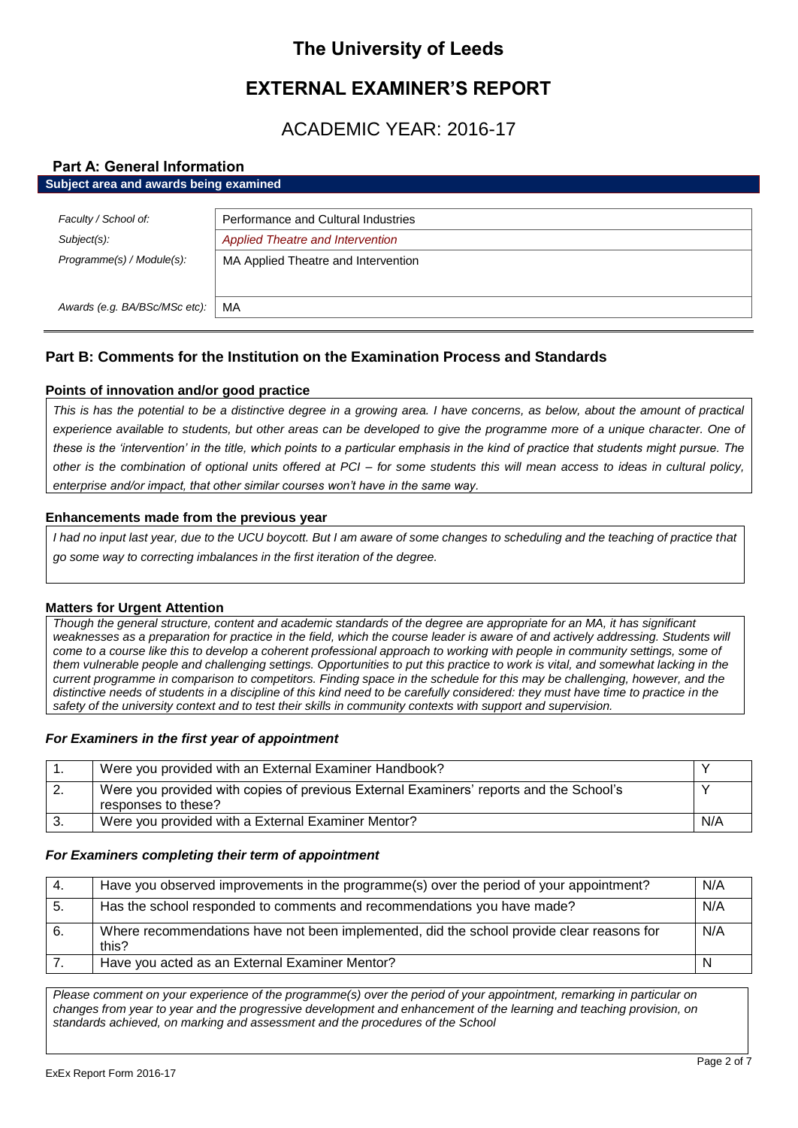# **The University of Leeds**

# **EXTERNAL EXAMINER'S REPORT**

# ACADEMIC YEAR: 2016-17

# **Part A: General Information**

| Subject area and awards being examined |                                         |
|----------------------------------------|-----------------------------------------|
|                                        |                                         |
| Faculty / School of:                   | Performance and Cultural Industries     |
| Subject(s):                            | <b>Applied Theatre and Intervention</b> |
| Programme(s) / Module(s):              | MA Applied Theatre and Intervention     |
|                                        |                                         |
| Awards (e.g. BA/BSc/MSc etc):          | MA                                      |
|                                        |                                         |

# **Part B: Comments for the Institution on the Examination Process and Standards**

# **Points of innovation and/or good practice**

*This is has the potential to be a distinctive degree in a growing area. I have concerns, as below, about the amount of practical*  experience available to students, but other areas can be developed to give the programme more of a unique character. One of *these is the 'intervention' in the title, which points to a particular emphasis in the kind of practice that students might pursue. The other is the combination of optional units offered at PCI – for some students this will mean access to ideas in cultural policy, enterprise and/or impact, that other similar courses won't have in the same way.* 

## **Enhancements made from the previous year**

*I had no input last year, due to the UCU boycott. But I am aware of some changes to scheduling and the teaching of practice that go some way to correcting imbalances in the first iteration of the degree.* 

## **Matters for Urgent Attention**

*Though the general structure, content and academic standards of the degree are appropriate for an MA, it has significant*  weaknesses as a preparation for practice in the field, which the course leader is aware of and actively addressing. Students will *come to a course like this to develop a coherent professional approach to working with people in community settings, some of them vulnerable people and challenging settings. Opportunities to put this practice to work is vital, and somewhat lacking in the current programme in comparison to competitors. Finding space in the schedule for this may be challenging, however, and the distinctive needs of students in a discipline of this kind need to be carefully considered: they must have time to practice in the safety of the university context and to test their skills in community contexts with support and supervision.* 

# *For Examiners in the first year of appointment*

|          | Were you provided with an External Examiner Handbook?                                                         |     |
|----------|---------------------------------------------------------------------------------------------------------------|-----|
| <u>.</u> | Were you provided with copies of previous External Examiners' reports and the School's<br>responses to these? |     |
| -3.      | Were you provided with a External Examiner Mentor?                                                            | N/A |

## *For Examiners completing their term of appointment*

| -4. | Have you observed improvements in the programme(s) over the period of your appointment?            | N/A |
|-----|----------------------------------------------------------------------------------------------------|-----|
| -5. | Has the school responded to comments and recommendations you have made?                            | N/A |
| 6.  | Where recommendations have not been implemented, did the school provide clear reasons for<br>this? | N/A |
|     | Have you acted as an External Examiner Mentor?                                                     |     |

*Please comment on your experience of the programme(s) over the period of your appointment, remarking in particular on changes from year to year and the progressive development and enhancement of the learning and teaching provision, on standards achieved, on marking and assessment and the procedures of the School*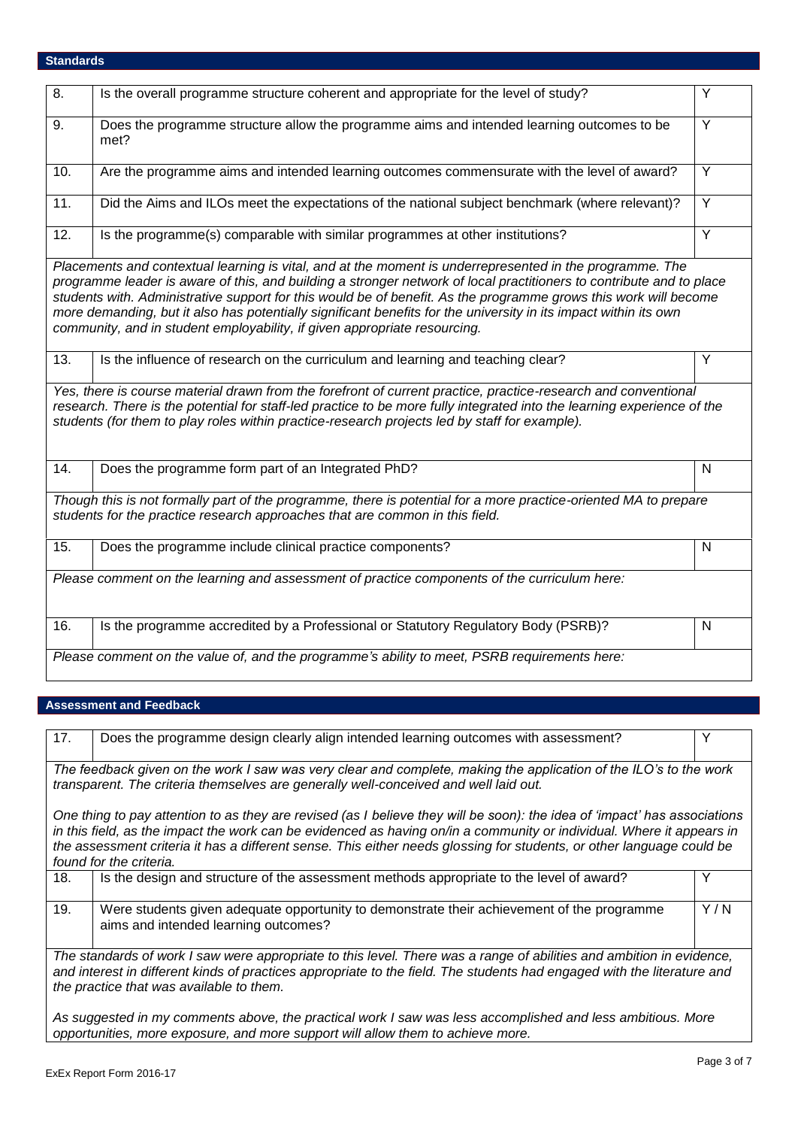# **Standards**

| 8.                | Is the overall programme structure coherent and appropriate for the level of study?                                                                                                                                                                                                                                                                                                                                                                                                                                                                   | Y              |
|-------------------|-------------------------------------------------------------------------------------------------------------------------------------------------------------------------------------------------------------------------------------------------------------------------------------------------------------------------------------------------------------------------------------------------------------------------------------------------------------------------------------------------------------------------------------------------------|----------------|
| 9.                | Does the programme structure allow the programme aims and intended learning outcomes to be<br>met?                                                                                                                                                                                                                                                                                                                                                                                                                                                    | $\overline{Y}$ |
| 10.               | Are the programme aims and intended learning outcomes commensurate with the level of award?                                                                                                                                                                                                                                                                                                                                                                                                                                                           | Y              |
| 11.               | Did the Aims and ILOs meet the expectations of the national subject benchmark (where relevant)?                                                                                                                                                                                                                                                                                                                                                                                                                                                       | $\overline{Y}$ |
| $\overline{12}$ . | Is the programme(s) comparable with similar programmes at other institutions?                                                                                                                                                                                                                                                                                                                                                                                                                                                                         | $\overline{Y}$ |
|                   | Placements and contextual learning is vital, and at the moment is underrepresented in the programme. The<br>programme leader is aware of this, and building a stronger network of local practitioners to contribute and to place<br>students with. Administrative support for this would be of benefit. As the programme grows this work will become<br>more demanding, but it also has potentially significant benefits for the university in its impact within its own<br>community, and in student employability, if given appropriate resourcing. |                |
| 13.               | Is the influence of research on the curriculum and learning and teaching clear?                                                                                                                                                                                                                                                                                                                                                                                                                                                                       | Y              |
|                   | Yes, there is course material drawn from the forefront of current practice, practice-research and conventional<br>research. There is the potential for staff-led practice to be more fully integrated into the learning experience of the<br>students (for them to play roles within practice-research projects led by staff for example).                                                                                                                                                                                                            |                |
| $\overline{14}$ . | Does the programme form part of an Integrated PhD?                                                                                                                                                                                                                                                                                                                                                                                                                                                                                                    | $\mathsf{N}$   |
|                   | Though this is not formally part of the programme, there is potential for a more practice-oriented MA to prepare<br>students for the practice research approaches that are common in this field.                                                                                                                                                                                                                                                                                                                                                      |                |
| 15.               | Does the programme include clinical practice components?                                                                                                                                                                                                                                                                                                                                                                                                                                                                                              | $\mathsf{N}$   |
|                   | Please comment on the learning and assessment of practice components of the curriculum here:                                                                                                                                                                                                                                                                                                                                                                                                                                                          |                |
| 16.               | Is the programme accredited by a Professional or Statutory Regulatory Body (PSRB)?                                                                                                                                                                                                                                                                                                                                                                                                                                                                    | N              |
|                   | Please comment on the value of, and the programme's ability to meet, PSRB requirements here:                                                                                                                                                                                                                                                                                                                                                                                                                                                          |                |

# **Assessment and Feedback**

| 17.                                                                                                                                                                                                                                                                                         | Does the programme design clearly align intended learning outcomes with assessment?                                                                                                                                                                                                                                                                                                                    | Y   |
|---------------------------------------------------------------------------------------------------------------------------------------------------------------------------------------------------------------------------------------------------------------------------------------------|--------------------------------------------------------------------------------------------------------------------------------------------------------------------------------------------------------------------------------------------------------------------------------------------------------------------------------------------------------------------------------------------------------|-----|
| The feedback given on the work I saw was very clear and complete, making the application of the ILO's to the work<br>transparent. The criteria themselves are generally well-conceived and well laid out.                                                                                   |                                                                                                                                                                                                                                                                                                                                                                                                        |     |
|                                                                                                                                                                                                                                                                                             | One thing to pay attention to as they are revised (as I believe they will be soon): the idea of 'impact' has associations<br>in this field, as the impact the work can be evidenced as having on/in a community or individual. Where it appears in<br>the assessment criteria it has a different sense. This either needs glossing for students, or other language could be<br>found for the criteria. |     |
| 18.                                                                                                                                                                                                                                                                                         | Is the design and structure of the assessment methods appropriate to the level of award?                                                                                                                                                                                                                                                                                                               | Y   |
| 19.                                                                                                                                                                                                                                                                                         | Were students given adequate opportunity to demonstrate their achievement of the programme<br>aims and intended learning outcomes?                                                                                                                                                                                                                                                                     | Y/N |
| The standards of work I saw were appropriate to this level. There was a range of abilities and ambition in evidence,<br>and interest in different kinds of practices appropriate to the field. The students had engaged with the literature and<br>the practice that was available to them. |                                                                                                                                                                                                                                                                                                                                                                                                        |     |
| As suggested in my comments above, the practical work I saw was less accomplished and less ambitious. More<br>opportunities, more exposure, and more support will allow them to achieve more.                                                                                               |                                                                                                                                                                                                                                                                                                                                                                                                        |     |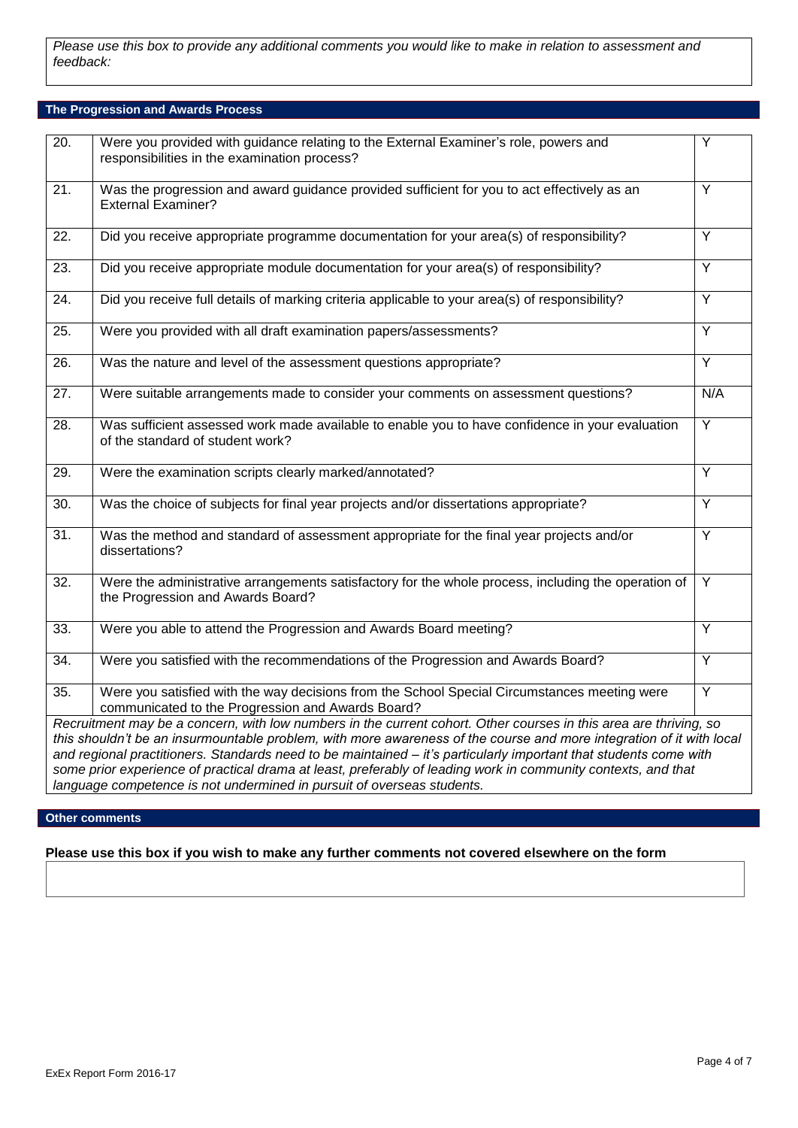*Please use this box to provide any additional comments you would like to make in relation to assessment and feedback:*

# **The Progression and Awards Process**

| $\overline{20}$ .                                                                                                                                                                                                                                                                                                                                                                                                                                                                                                                                         | Were you provided with guidance relating to the External Examiner's role, powers and<br>responsibilities in the examination process?              | Y              |
|-----------------------------------------------------------------------------------------------------------------------------------------------------------------------------------------------------------------------------------------------------------------------------------------------------------------------------------------------------------------------------------------------------------------------------------------------------------------------------------------------------------------------------------------------------------|---------------------------------------------------------------------------------------------------------------------------------------------------|----------------|
| 21.                                                                                                                                                                                                                                                                                                                                                                                                                                                                                                                                                       | Was the progression and award guidance provided sufficient for you to act effectively as an<br><b>External Examiner?</b>                          | Y              |
| 22.                                                                                                                                                                                                                                                                                                                                                                                                                                                                                                                                                       | Did you receive appropriate programme documentation for your area(s) of responsibility?                                                           | Y              |
| $\overline{23}$ .                                                                                                                                                                                                                                                                                                                                                                                                                                                                                                                                         | Did you receive appropriate module documentation for your area(s) of responsibility?                                                              | Y              |
| $\overline{24}$ .                                                                                                                                                                                                                                                                                                                                                                                                                                                                                                                                         | Did you receive full details of marking criteria applicable to your area(s) of responsibility?                                                    | Ÿ              |
| $\overline{25}$ .                                                                                                                                                                                                                                                                                                                                                                                                                                                                                                                                         | Were you provided with all draft examination papers/assessments?                                                                                  | $\overline{Y}$ |
| 26.                                                                                                                                                                                                                                                                                                                                                                                                                                                                                                                                                       | Was the nature and level of the assessment questions appropriate?                                                                                 | Y              |
| 27.                                                                                                                                                                                                                                                                                                                                                                                                                                                                                                                                                       | Were suitable arrangements made to consider your comments on assessment questions?                                                                | N/A            |
| 28.                                                                                                                                                                                                                                                                                                                                                                                                                                                                                                                                                       | Was sufficient assessed work made available to enable you to have confidence in your evaluation<br>of the standard of student work?               | Ÿ              |
| 29.                                                                                                                                                                                                                                                                                                                                                                                                                                                                                                                                                       | Were the examination scripts clearly marked/annotated?                                                                                            | $\overline{Y}$ |
| 30.                                                                                                                                                                                                                                                                                                                                                                                                                                                                                                                                                       | Was the choice of subjects for final year projects and/or dissertations appropriate?                                                              | $\overline{Y}$ |
| $\overline{31}$ .                                                                                                                                                                                                                                                                                                                                                                                                                                                                                                                                         | Was the method and standard of assessment appropriate for the final year projects and/or<br>dissertations?                                        | Y              |
| $\overline{32}$ .                                                                                                                                                                                                                                                                                                                                                                                                                                                                                                                                         | Were the administrative arrangements satisfactory for the whole process, including the operation of<br>the Progression and Awards Board?          | $\overline{Y}$ |
| 33.                                                                                                                                                                                                                                                                                                                                                                                                                                                                                                                                                       | Were you able to attend the Progression and Awards Board meeting?                                                                                 | $\overline{Y}$ |
| $\overline{34}$ .                                                                                                                                                                                                                                                                                                                                                                                                                                                                                                                                         | Were you satisfied with the recommendations of the Progression and Awards Board?                                                                  | Y              |
| 35.                                                                                                                                                                                                                                                                                                                                                                                                                                                                                                                                                       | Were you satisfied with the way decisions from the School Special Circumstances meeting were<br>communicated to the Progression and Awards Board? | $\overline{Y}$ |
| Recruitment may be a concern, with low numbers in the current cohort. Other courses in this area are thriving, so<br>this shouldn't be an insurmountable problem, with more awareness of the course and more integration of it with local<br>and regional practitioners. Standards need to be maintained – it's particularly important that students come with<br>some prior experience of practical drama at least, preferably of leading work in community contexts, and that<br>language competence is not undermined in pursuit of overseas students. |                                                                                                                                                   |                |

# **Other comments**

# **Please use this box if you wish to make any further comments not covered elsewhere on the form**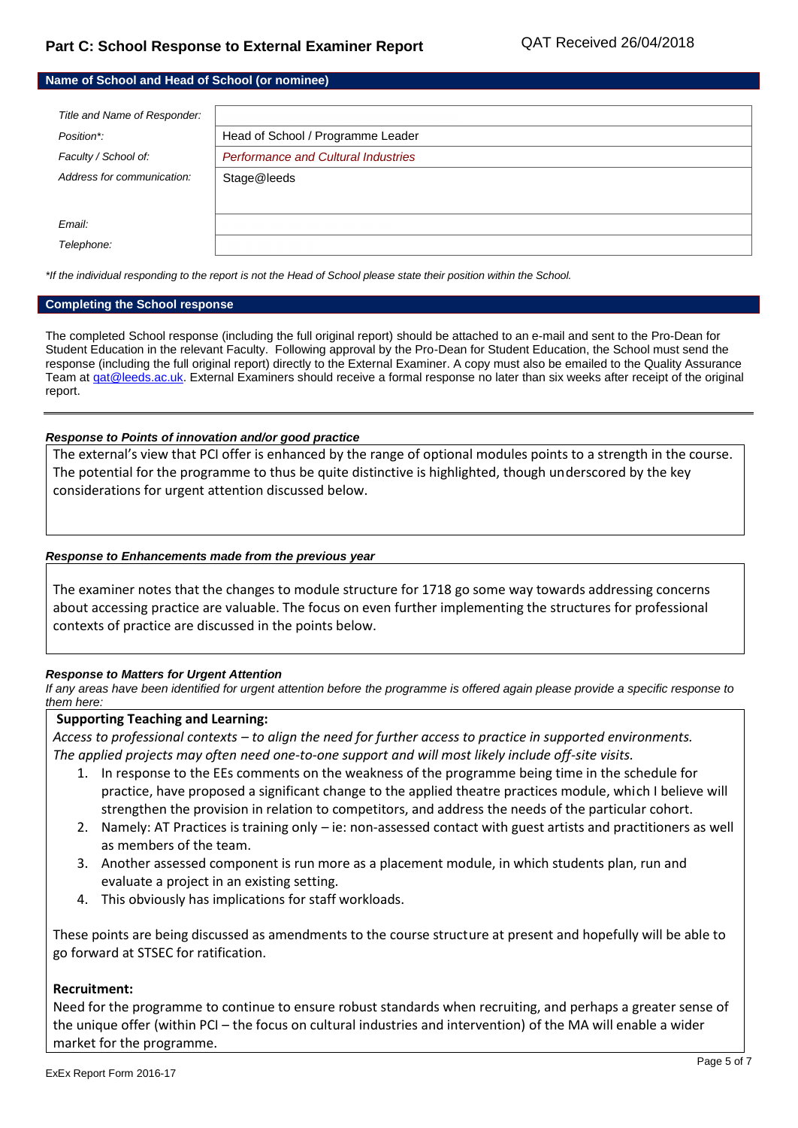| Name of School and Head of School (or nominee) |                                            |
|------------------------------------------------|--------------------------------------------|
|                                                |                                            |
| Title and Name of Responder:                   |                                            |
| Position*:                                     | Head of School / Programme Leader          |
| Faculty / School of:                           | <b>Performance and Cultural Industries</b> |
| Address for communication:                     | Stage@leeds                                |
|                                                |                                            |
| Email:                                         |                                            |
| Telephone:                                     |                                            |

*\*If the individual responding to the report is not the Head of School please state their position within the School.*

#### **Completing the School response**

The completed School response (including the full original report) should be attached to an e-mail and sent to the Pro-Dean for Student Education in the relevant Faculty. Following approval by the Pro-Dean for Student Education, the School must send the response (including the full original report) directly to the External Examiner. A copy must also be emailed to the Quality Assurance Team at gat@leeds.ac.uk. External Examiners should receive a formal response no later than six weeks after receipt of the original report.

#### *Response to Points of innovation and/or good practice*

The external's view that PCI offer is enhanced by the range of optional modules points to a strength in the course. The potential for the programme to thus be quite distinctive is highlighted, though underscored by the key considerations for urgent attention discussed below.

## *Response to Enhancements made from the previous year*

The examiner notes that the changes to module structure for 1718 go some way towards addressing concerns about accessing practice are valuable. The focus on even further implementing the structures for professional contexts of practice are discussed in the points below.

#### *Response to Matters for Urgent Attention*

*If any areas have been identified for urgent attention before the programme is offered again please provide a specific response to them here:*

#### **Supporting Teaching and Learning:**

*Access to professional contexts – to align the need for further access to practice in supported environments. The applied projects may often need one-to-one support and will most likely include off-site visits.*

- 1. In response to the EEs comments on the weakness of the programme being time in the schedule for practice, have proposed a significant change to the applied theatre practices module, which I believe will strengthen the provision in relation to competitors, and address the needs of the particular cohort.
- 2. Namely: AT Practices is training only ie: non-assessed contact with guest artists and practitioners as well as members of the team.
- 3. Another assessed component is run more as a placement module, in which students plan, run and evaluate a project in an existing setting.
- 4. This obviously has implications for staff workloads.

These points are being discussed as amendments to the course structure at present and hopefully will be able to go forward at STSEC for ratification.

#### **Recruitment:**

Need for the programme to continue to ensure robust standards when recruiting, and perhaps a greater sense of the unique offer (within PCI – the focus on cultural industries and intervention) of the MA will enable a wider market for the programme.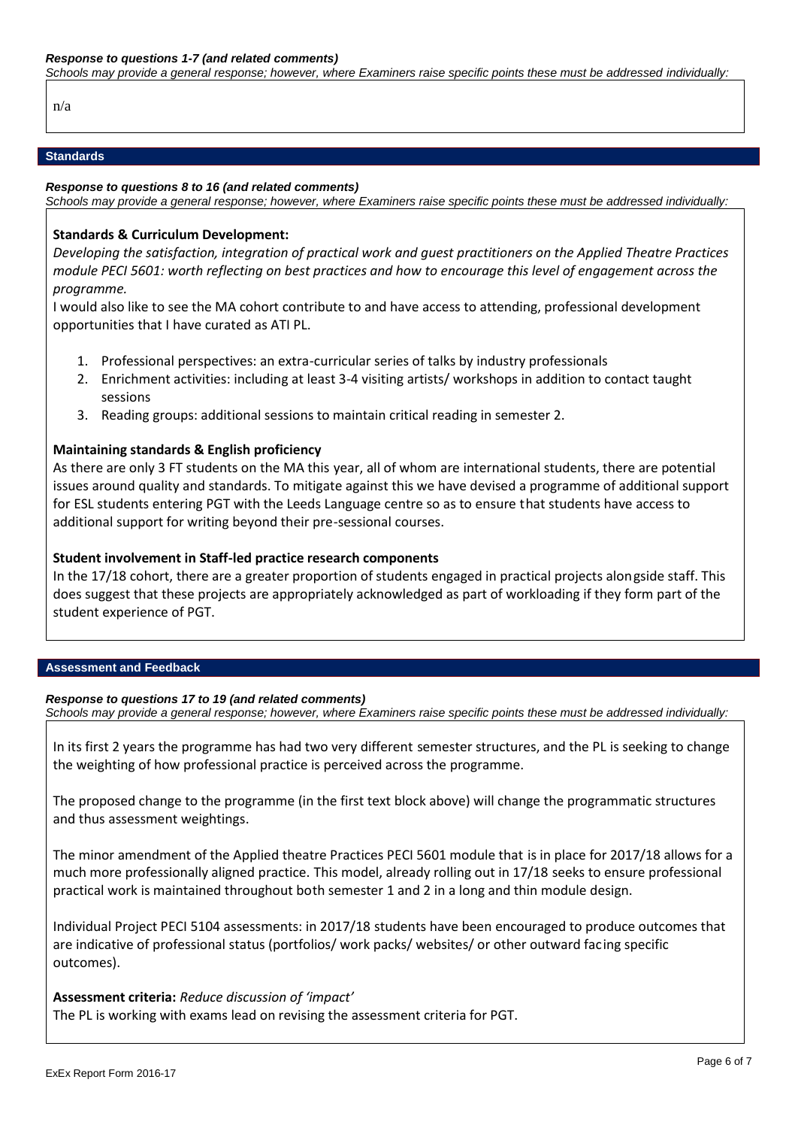*Schools may provide a general response; however, where Examiners raise specific points these must be addressed individually:*

n/a

#### **Standards**

#### *Response to questions 8 to 16 (and related comments)*

*Schools may provide a general response; however, where Examiners raise specific points these must be addressed individually:*

#### **Standards & Curriculum Development:**

*Developing the satisfaction, integration of practical work and guest practitioners on the Applied Theatre Practices module PECI 5601: worth reflecting on best practices and how to encourage this level of engagement across the programme.*

I would also like to see the MA cohort contribute to and have access to attending, professional development opportunities that I have curated as ATI PL.

- 1. Professional perspectives: an extra-curricular series of talks by industry professionals
- 2. Enrichment activities: including at least 3-4 visiting artists/ workshops in addition to contact taught sessions
- 3. Reading groups: additional sessions to maintain critical reading in semester 2.

## **Maintaining standards & English proficiency**

As there are only 3 FT students on the MA this year, all of whom are international students, there are potential issues around quality and standards. To mitigate against this we have devised a programme of additional support for ESL students entering PGT with the Leeds Language centre so as to ensure that students have access to additional support for writing beyond their pre-sessional courses.

## **Student involvement in Staff-led practice research components**

In the 17/18 cohort, there are a greater proportion of students engaged in practical projects alongside staff. This does suggest that these projects are appropriately acknowledged as part of workloading if they form part of the student experience of PGT.

#### **Assessment and Feedback**

#### *Response to questions 17 to 19 (and related comments)*

*Schools may provide a general response; however, where Examiners raise specific points these must be addressed individually:*

In its first 2 years the programme has had two very different semester structures, and the PL is seeking to change the weighting of how professional practice is perceived across the programme.

The proposed change to the programme (in the first text block above) will change the programmatic structures and thus assessment weightings.

The minor amendment of the Applied theatre Practices PECI 5601 module that is in place for 2017/18 allows for a much more professionally aligned practice. This model, already rolling out in 17/18 seeks to ensure professional practical work is maintained throughout both semester 1 and 2 in a long and thin module design.

Individual Project PECI 5104 assessments: in 2017/18 students have been encouraged to produce outcomes that are indicative of professional status (portfolios/ work packs/ websites/ or other outward facing specific outcomes).

#### **Assessment criteria:** *Reduce discussion of 'impact'*

The PL is working with exams lead on revising the assessment criteria for PGT.